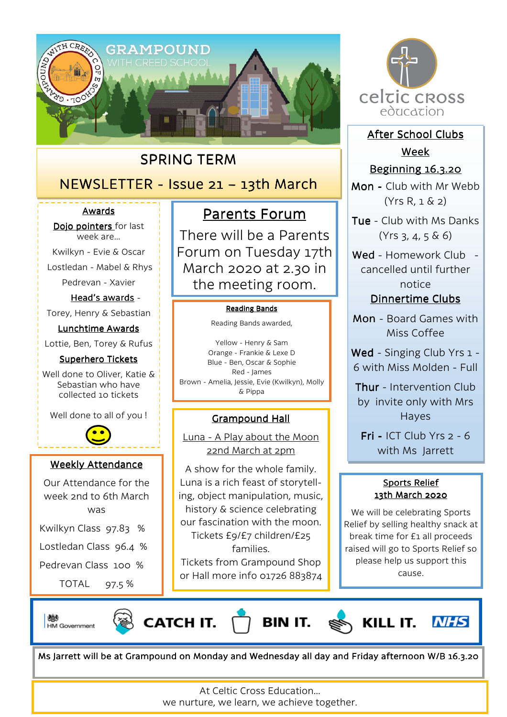

## SPRING TERM

## NEWSLETTER - Issue 21 - 13th March

### Awards

Dojo pointers for last week are…

Kwilkyn - Evie & Oscar

Lostledan - Mabel & Rhys

Pedrevan - Xavier

Head's awards -Torey, Henry & Sebastian

Lunchtime Awards Lottie, Ben, Torey & Rufus

#### Superhero Tickets

Well done to Oliver, Katie & Sebastian who have collected 10 tickets

Well done to all of you !



### Weekly Attendance

Our Attendance for the week 2nd to 6th March was Kwilkyn Class 97.83 % Lostledan Class 96.4 %

Pedrevan Class 100 %

TOTAL 97.5 %

# Parents Forum

There will be a Parents Forum on Tuesday 17th March 2020 at 2.30 in the meeting room.

#### **Reading Bands**

Reading Bands awarded,

Yellow - Henry & Sam Orange - Frankie & Lexe D Blue - Ben, Oscar & Sophie Red - James Brown - Amelia, Jessie, Evie (Kwilkyn), Molly & Pippa

## Grampound Hall Grampound Hall

Luna - A Play about the Moon 22nd March at 2pm

A show for the whole family. Luna is a rich feast of storytelling, object manipulation, music, history & science celebrating our fascination with the moon. Tickets £9/£7 children/£25 families. Tickets from Grampound Shop

or Hall more info 01726 883874



After School Clubs Week

## **Beginning 16.3.20**

Mon - Club with Mr Webb (Yrs R, 1 & 2)

Tue - Club with Ms Danks  $(Yrs 3, 4, 5 \& 6)$ 

Wed - Homework Club cancelled until further notice

Dinnertime Clubs

Mon - Board Games with Miss Coffee

Wed - Singing Club Yrs 1 -6 with Miss Molden - Full

Thur - Intervention Club by invite only with Mrs Hayes

Fri - ICT Club Yrs  $2 - 6$ with Ms Jarrett

## Sports Relief 13th March 2020

We will be celebrating Sports Relief by selling healthy snack at break time for £1 all proceeds raised will go to Sports Relief so please help us support this cause.

戀 **HM Government** 







Ms Jarrett will be at Grampound on Monday and Wednesday all day and Friday afternoon W/B 16.3.20

At Celtic Cross Education…

we nurture, we learn, we achieve together.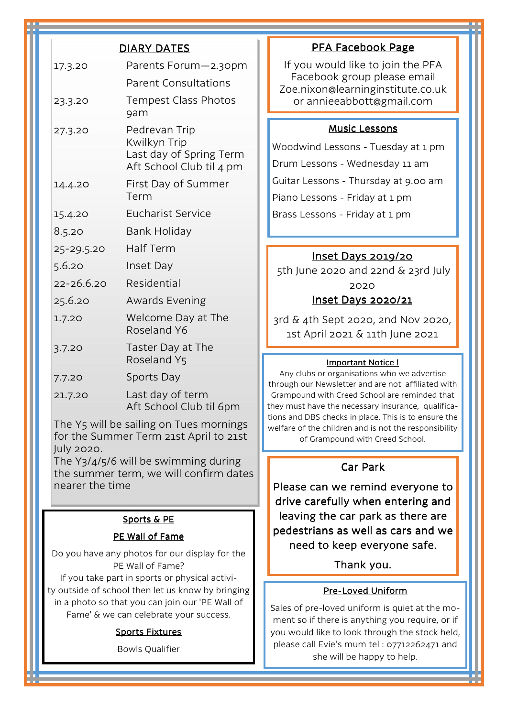|                                                                                                 | <b>DIARY DATES</b>                                                                   |
|-------------------------------------------------------------------------------------------------|--------------------------------------------------------------------------------------|
| 17.3.20                                                                                         | Parents Forum-2.30pm                                                                 |
|                                                                                                 | <b>Parent Consultations</b>                                                          |
| 23.3.20                                                                                         | <b>Tempest Class Photos</b><br>9am                                                   |
| 27.3.20                                                                                         | Pedrevan Trip<br>Kwilkyn Trip<br>Last day of Spring Term<br>Aft School Club til 4 pm |
| 14.4.20                                                                                         | First Day of Summer<br>Term                                                          |
| 15.4.20                                                                                         | Eucharist Service                                                                    |
| 8.5.20                                                                                          | Bank Holiday                                                                         |
| 25-29.5.20                                                                                      | <b>Half Term</b>                                                                     |
| 5.6.20                                                                                          | Inset Day                                                                            |
| 22-26.6.20                                                                                      | Residential                                                                          |
| 25.6.20                                                                                         | <b>Awards Evening</b>                                                                |
| 1.7.20                                                                                          | Welcome Day at The<br>Roseland Y6                                                    |
| 3.7.20                                                                                          | Taster Day at The<br>Roseland Y5                                                     |
| 7.7.20                                                                                          | <b>Sports Day</b>                                                                    |
| 21.7.20                                                                                         | Last day of term<br>Aft School Club til 6pm                                          |
| The Y5 will be sailing on Tues mornings<br>for the Summer Term 21st April to 21st<br>July 2020. |                                                                                      |
| The Y3/4/5/6 will be swimming during<br>the summer term, we will confirm dates                  |                                                                                      |

#### Sports & PE

nearer the time

### PE Wall of Fame

Do you have any photos for our display for the PE Wall of Fame? If you take part in sports or physical activity outside of school then let us know by bringing in a photo so that you can join our 'PE Wall of

Fame' & we can celebrate your success.

#### **Sports Fixtures**

Bowls Qualifier

## PFA Facebook Page

If you would like to join the PFA Facebook group please email Zoe.nixon@learninginstitute.co.uk or annieeabbott@gmail.com

#### **Music Lessons**

Woodwind Lessons - Tuesday at 1 pm Drum Lessons - Wednesday 11 am Guitar Lessons - Thursday at 9.00 am Piano Lessons - Friday at 1 pm Brass Lessons - Friday at 1 pm

### Inset Days 2019/20

 5th June 2020 and 22nd & 23rd July 2020 Inset Days 2020/21

3rd & 4th Sept 2020, 2nd Nov 2020, 1st April 2021 & 11th June 2021

#### Important Notice !

Any clubs or organisations who we advertise through our Newsletter and are not affiliated with Grampound with Creed School are reminded that they must have the necessary insurance, qualifications and DBS checks in place. This is to ensure the welfare of the children and is not the responsibility of Grampound with Creed School.

## Car Park

Please can we remind everyone to drive carefully when entering and leaving the car park as there are pedestrians as well as cars and we need to keep everyone safe.

#### Thank you.

#### Pre-Loved Uniform

Sales of pre-loved uniform is quiet at the moment so if there is anything you require, or if you would like to look through the stock held, please call Evie's mum tel : 07712262471 and she will be happy to help.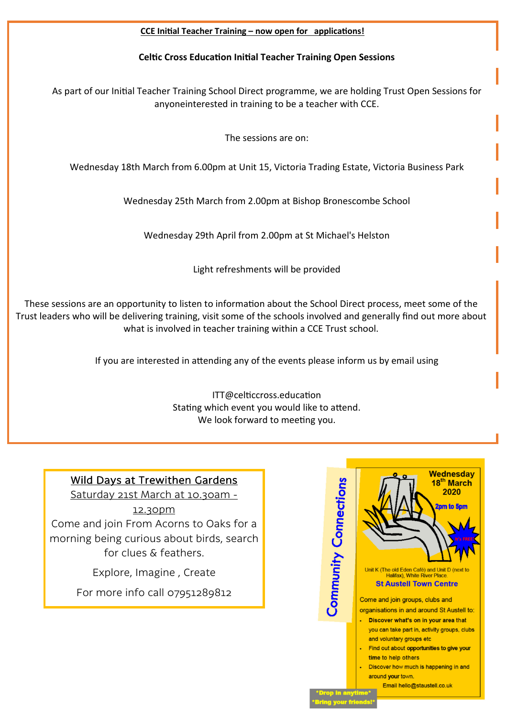### CCE Initial Teacher Training - now open for applications!

## Celtic Cross Education Initial Teacher Training Open Sessions

As part of our Initial Teacher Training School Direct programme, we are holding Trust Open Sessions for anyoneinterested in training to be a teacher with CCE.

The sessions are on:

Wednesday 18th March from 6.00pm at Unit 15, Victoria Trading Estate, Victoria Business Park

Wednesday 25th March from 2.00pm at Bishop Bronescombe School

Wednesday 29th April from 2.00pm at St Michael's Helston

Light refreshments will be provided

These sessions are an opportunity to listen to information about the School Direct process, meet some of the Trust leaders who will be delivering training, visit some of the schools involved and generally find out more about what is involved in teacher training within a CCE Trust school.

If you are interested in attending any of the events please inform us by email using

ITT@celticcross.education Stating which event you would like to attend. We look forward to meeting you.

#### Wednesday Wild Days at Trewithen Gardens **Community Connections** 18<sup>th</sup> March 2020 Saturday 21st March at 10.30am - 12.30pm Come and join From Acorns to Oaks for a morning being curious about birds, search for clues & feathers. Unit K (The old Eden Café) and Unit D (next to Explore, Imagine , Create Halifax), White River Place **St Austell Town Centre** For more info call 07951289812 Come and join groups, clubs and organisations in and around St Austell to: . Discover what's on in your area that vou can take part in, activity groups, clubs and voluntary groups etc . Find out about opportunities to give your time to help others Discover how much is happening in and around your town. Email hello@staustell.co.uk